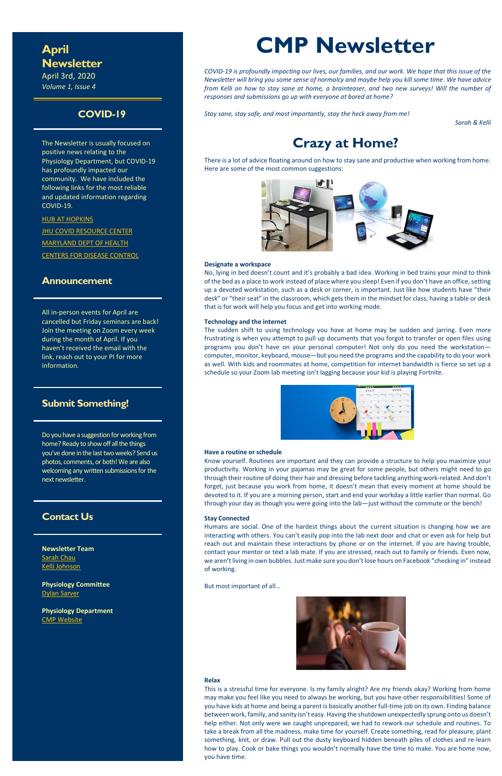## **April Newsletter**

April 3rd, 2020 *Volume 1, Issue 4*

## **COVID-19**

The Newsletter is usually focused on positive news relating to the Physiology Department, but COVID-19 has profoundly impacted our community. We have included the following links for the most reliable and updated information regarding COVID-19.

**[HUB AT HOPKINS](https://hub.jhu.edu/novel-coronavirus-information/) JHU COVID [RESOURCE CENTER](https://coronavirus.jhu.edu/)** 

[MARYLAND DEPT OF HEALTH](https://coronavirus.maryland.gov/) [CENTERS FOR DISEASE CONTROL](https://www.cdc.gov/coronavirus/2019-ncov/index.html)

### **Announcement**

All in-person events for April are cancelled but Friday seminars are back! Join the meeting on Zoom every week during the month of April. If you haven't received the email with the link, reach out to your PI for more information.

## **Submit Something!**

Do you have a suggestion for working from home? Ready to show off all the things you've done in the last two weeks? Send us photos, comments, or both! We are also welcoming any written submissions for the next newsletter.

## **Contact Us**

**Newsletter Team [Sarah Chau](mailto:schau2@jhmi.edu?subject=Newsletter)** [Kelli Johnson](mailto:kjohn166@jhmi.edu?subject=Newsletter)

**Physiology Committee** [Dylan Sarver](mailto:dsarver1@jhmi.edu?subject=Newsletter)

**Physiology Department** [CMP Website](http://physiology.bs.jhmi.edu/)



# **CMP Newsletter**

*COVID-19 is profoundly impacting our lives, our families, and our work. We hope that this issue of the Newsletter will bring you some sense of normalcy and maybe help you kill some time. We have advice from Kelli on how to stay sane at home, a brainteaser, and two new surveys! Will the number of responses and submissions go up with everyone at bored at home?*

*Stay sane, stay safe, and most importantly, stay the heck away from me!*

*Sarah & Kelli*

# **Crazy at Home?**

There is a lot of advice floating around on how to stay sane and productive when working from home. Here are some of the most common suggestions:



#### **Designate a workspace**

No, lying in bed doesn't count and it's probably a bad idea. Working in bed trains your mind to think of the bed as a place to work instead of place where you sleep! Even if you don't have an office, setting up a devoted workstation, such as a desk or corner, is important. Just like how students have "their desk" or "their seat" in the classroom, which gets them in the mindset for class, having a table or desk that is for work will help you focus and get into working mode.

#### **Technology and the internet**

The sudden shift to using technology you have at home may be sudden and jarring. Even more frustrating is when you attempt to pull up documents that you forgot to transfer or open files using programs you don't have on your personal computer! Not only do you need the workstation computer, monitor, keyboard, mouse—but you need the programs and the capability to do your work as well. With kids and roommates at home, competition for internet bandwidth is fierce so set up a schedule so your Zoom lab meeting isn't lagging because your kid is playing Fortnite.



#### **Have a routine or schedule**

Know yourself. Routines are important and they can provide a structure to help you maximize your productivity. Working in your pajamas may be great for some people, but others might need to go through their routine of doing their hair and dressing before tackling anything work-related. And don't forget, just because you work from home, it doesn't mean that every moment at home should be devoted to it. If you are a morning person, start and end your workday a little earlier than normal. Go through your day as though you were going into the lab—just without the commute or the bench!

#### **Stay Connected**

Humans are social. One of the hardest things about the current situation is changing how we are interacting with others. You can't easily pop into the lab next door and chat or even ask for help but reach out and maintain these interactions by phone or on the internet. If you are having trouble, contact your mentor or text a lab mate. If you are stressed, reach out to family or friends. Even now, we aren't living in own bubbles. Just make sure you don't lose hours on Facebook "checking in" instead of working.

#### But most important of all…



#### **Relax**

This is a stressful time for everyone. Is my family alright? Are my friends okay? Working from home may make you feel like you need to always be working, but you have other responsibilities! Some of you have kids at home and being a parent is basically another full-time job on its own. Finding balance between work, family, and sanity isn't easy. Having the shutdown unexpectedly sprung onto us doesn't help either. Not only were we caught unprepared, we had to rework our schedule and routines. To take a break from all the madness, make time for yourself. Create something, read for pleasure, plant something, knit, or draw. Pull out the dusty keyboard hidden beneath piles of clothes and re-learn how to play. Cook or bake things you wouldn't normally have the time to make. You are home now, you have time.